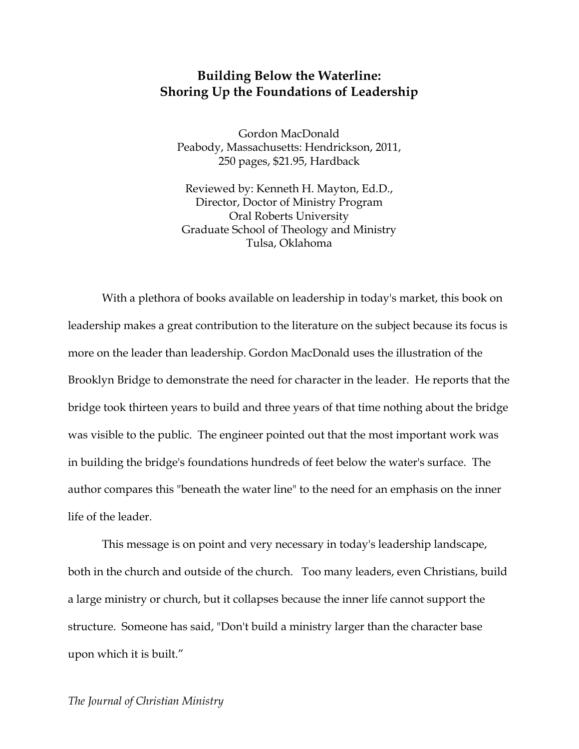## **Building Below the Waterline: Shoring Up the Foundations of Leadership**

Gordon MacDonald Peabody, Massachusetts: Hendrickson, 2011, 250 pages, \$21.95, Hardback

Reviewed by: Kenneth H. Mayton, Ed.D., Director, Doctor of Ministry Program Oral Roberts University Graduate School of Theology and Ministry Tulsa, Oklahoma

With a plethora of books available on leadership in today's market, this book on leadership makes a great contribution to the literature on the subject because its focus is more on the leader than leadership. Gordon MacDonald uses the illustration of the Brooklyn Bridge to demonstrate the need for character in the leader. He reports that the bridge took thirteen years to build and three years of that time nothing about the bridge was visible to the public. The engineer pointed out that the most important work was in building the bridge's foundations hundreds of feet below the water's surface. The author compares this "beneath the water line" to the need for an emphasis on the inner life of the leader.

This message is on point and very necessary in today's leadership landscape, both in the church and outside of the church. Too many leaders, even Christians, build a large ministry or church, but it collapses because the inner life cannot support the structure. Someone has said, "Don't build a ministry larger than the character base upon which it is built."

## *The Journal of Christian Ministry*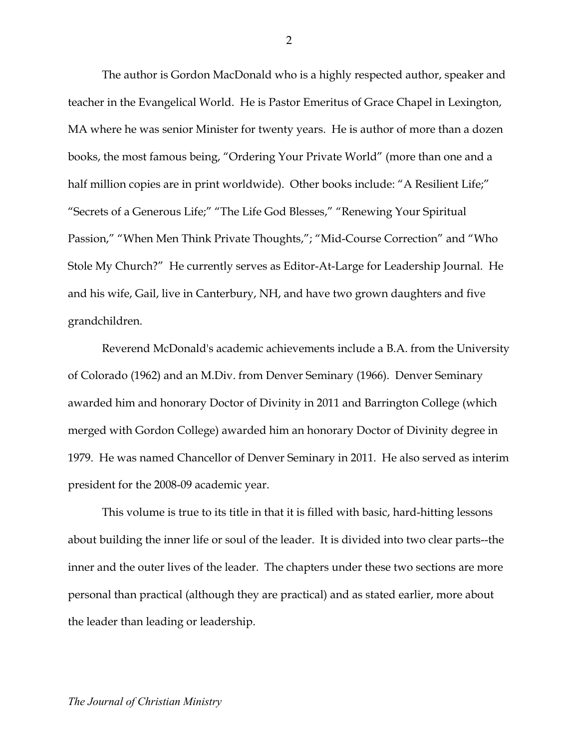The author is Gordon MacDonald who is a highly respected author, speaker and teacher in the Evangelical World. He is Pastor Emeritus of Grace Chapel in Lexington, MA where he was senior Minister for twenty years. He is author of more than a dozen books, the most famous being, "Ordering Your Private World" (more than one and a half million copies are in print worldwide). Other books include: "A Resilient Life;" "Secrets of a Generous Life;" "The Life God Blesses," "Renewing Your Spiritual Passion," "When Men Think Private Thoughts,"; "Mid-Course Correction" and "Who Stole My Church?" He currently serves as Editor-At-Large for Leadership Journal. He and his wife, Gail, live in Canterbury, NH, and have two grown daughters and five grandchildren.

Reverend McDonald's academic achievements include a B.A. from the University of Colorado (1962) and an M.Div. from Denver Seminary (1966). Denver Seminary awarded him and honorary Doctor of Divinity in 2011 and Barrington College (which merged with Gordon College) awarded him an honorary Doctor of Divinity degree in 1979. He was named Chancellor of Denver Seminary in 2011. He also served as interim president for the 2008-09 academic year.

This volume is true to its title in that it is filled with basic, hard-hitting lessons about building the inner life or soul of the leader. It is divided into two clear parts--the inner and the outer lives of the leader. The chapters under these two sections are more personal than practical (although they are practical) and as stated earlier, more about the leader than leading or leadership.

2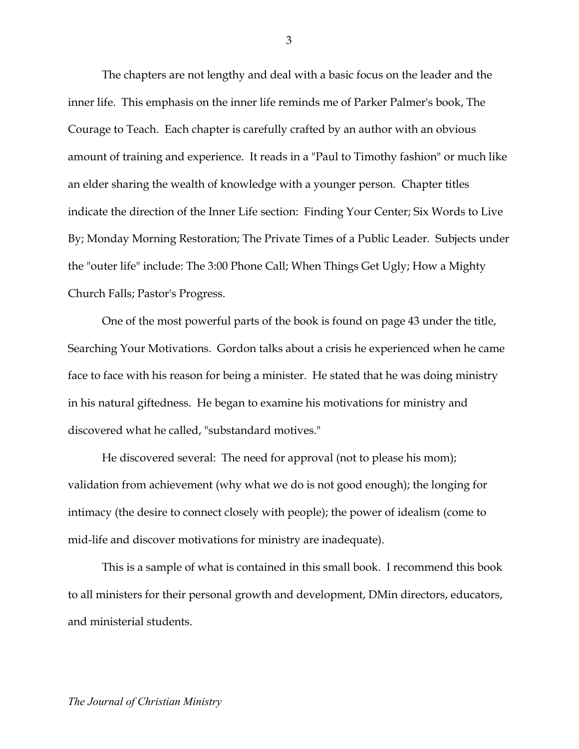The chapters are not lengthy and deal with a basic focus on the leader and the inner life. This emphasis on the inner life reminds me of Parker Palmer's book, The Courage to Teach. Each chapter is carefully crafted by an author with an obvious amount of training and experience. It reads in a "Paul to Timothy fashion" or much like an elder sharing the wealth of knowledge with a younger person. Chapter titles indicate the direction of the Inner Life section: Finding Your Center; Six Words to Live By; Monday Morning Restoration; The Private Times of a Public Leader. Subjects under the "outer life" include: The 3:00 Phone Call; When Things Get Ugly; How a Mighty Church Falls; Pastor's Progress.

One of the most powerful parts of the book is found on page 43 under the title, Searching Your Motivations. Gordon talks about a crisis he experienced when he came face to face with his reason for being a minister. He stated that he was doing ministry in his natural giftedness. He began to examine his motivations for ministry and discovered what he called, "substandard motives."

He discovered several: The need for approval (not to please his mom); validation from achievement (why what we do is not good enough); the longing for intimacy (the desire to connect closely with people); the power of idealism (come to mid-life and discover motivations for ministry are inadequate).

This is a sample of what is contained in this small book. I recommend this book to all ministers for their personal growth and development, DMin directors, educators, and ministerial students.

3

## *The Journal of Christian Ministry*